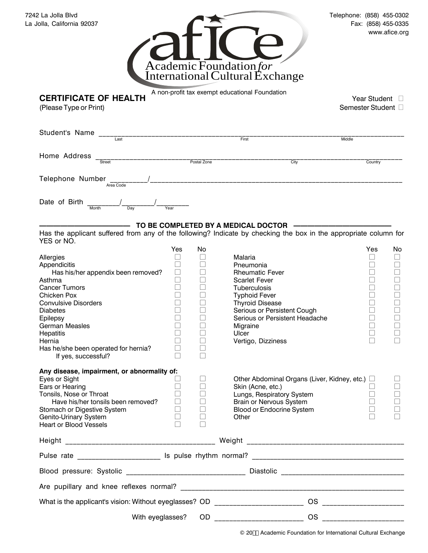| 7242 La Jolla Blvd         | Telephone: (858) 455-0302 |
|----------------------------|---------------------------|
| La Jolla, California 92037 | Fax: (858) 455-0335       |
|                            | $maxu$ of $\sim$          |



A non-profit tax exempt educational Foundation

**CERTIFICATE OF HEALTH** A non-profit tax exempt educational Foundation<br>
(Please Type or Print) Semester Student D

(Please Type or Print)

| Student's Name         |           |             |      |         |
|------------------------|-----------|-------------|------|---------|
|                        | Last      | First       |      | Middle  |
| Home Address           |           |             |      |         |
|                        | Street    | Postal Zone | City | Country |
| Telephone Number       | Area Code |             |      |         |
| Date of Birth<br>Month | Day       | Year        |      |         |

## TO BE COMPLETED BY A MEDICAL DOCTOR

Has the applicant suffered from any of the following? Indicate by checking the box in the appropriate column for YES or NO.

|                                                                                  | Yes                      | No     |                                                | Yes                               | No |
|----------------------------------------------------------------------------------|--------------------------|--------|------------------------------------------------|-----------------------------------|----|
| Allergies                                                                        | $\overline{\phantom{a}}$ | Ш      | Malaria                                        |                                   |    |
| Appendicitis                                                                     |                          | П      | Pneumonia                                      |                                   |    |
| Has his/her appendix been removed?                                               | $\Box$                   |        | <b>Rheumatic Fever</b>                         |                                   |    |
| Asthma                                                                           | $\Box$                   | П      | <b>Scarlet Fever</b>                           |                                   |    |
| <b>Cancer Tumors</b>                                                             |                          |        | Tuberculosis                                   |                                   |    |
| Chicken Pox                                                                      |                          |        | <b>Typhoid Fever</b>                           |                                   |    |
| <b>Convulsive Disorders</b>                                                      |                          |        | <b>Thyroid Disease</b>                         |                                   |    |
| <b>Diabetes</b>                                                                  |                          |        | Serious or Persistent Cough                    |                                   |    |
| Epilepsy                                                                         |                          |        | Serious or Persistent Headache                 |                                   |    |
| <b>German Measles</b>                                                            |                          |        | Migraine                                       |                                   |    |
| Hepatitis                                                                        |                          |        | Ulcer                                          |                                   |    |
| Hernia                                                                           |                          |        | Vertigo, Dizziness                             |                                   |    |
| Has he/she been operated for hernia?                                             |                          | Г      |                                                |                                   |    |
| If yes, successful?                                                              |                          |        |                                                |                                   |    |
| Any disease, impairment, or abnormality of:                                      |                          |        |                                                |                                   |    |
| Eyes or Sight                                                                    |                          | П      | Other Abdominal Organs (Liver, Kidney, etc.) O |                                   |    |
| Ears or Hearing                                                                  |                          | П      | Skin (Acne, etc.)                              |                                   |    |
| Tonsils, Nose or Throat                                                          |                          |        | Lungs, Respiratory System                      |                                   |    |
| Have his/her tonsils been removed?                                               |                          |        | Brain or Nervous System                        |                                   |    |
| Stomach or Digestive System                                                      | $\Box$                   | $\Box$ | <b>Blood or Endocrine System</b>               |                                   |    |
| Genito-Urinary System                                                            | $\Box$                   |        | Other                                          |                                   |    |
| <b>Heart or Blood Vessels</b>                                                    |                          |        |                                                |                                   |    |
|                                                                                  |                          |        |                                                |                                   |    |
|                                                                                  |                          |        |                                                |                                   |    |
|                                                                                  |                          |        |                                                |                                   |    |
|                                                                                  |                          |        |                                                |                                   |    |
|                                                                                  |                          |        |                                                |                                   |    |
| What is the applicant's vision: Without eyeglasses? OD _________________________ |                          |        | <b>OS</b>                                      | <u> Karl Maria Maria Maria Ma</u> |    |
| With eyeglasses?                                                                 |                          |        | <b>OS</b>                                      |                                   |    |
|                                                                                  |                          |        |                                                |                                   |    |

© 20% Academic Foundation for International Cultural Exchange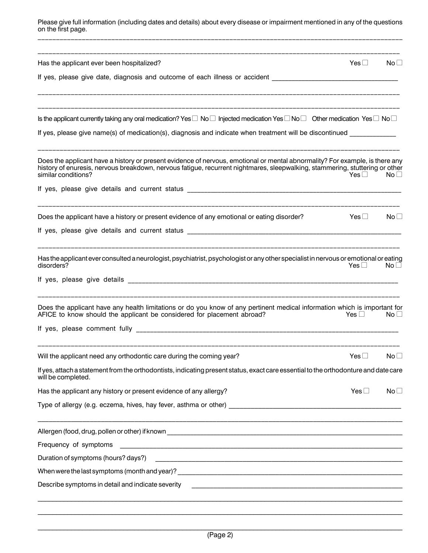Please give full information (including dates and details) about every disease or impairment mentioned in any of the questions on the first page.

| Has the applicant ever been hospitalized?<br>Yes □<br>$\mathsf{No}\,\Box$                                                                                                                                                                                                                                            |
|----------------------------------------------------------------------------------------------------------------------------------------------------------------------------------------------------------------------------------------------------------------------------------------------------------------------|
| If yes, please give date, diagnosis and outcome of each illness or accident __________________________________                                                                                                                                                                                                       |
| Is the applicant currently taking any oral medication? Yes $\Box$ No $\Box$ Injected medication Yes $\Box$ No $\Box$ Other medication Yes $\Box$ No $\Box$                                                                                                                                                           |
| If yes, please give name(s) of medication(s), diagnosis and indicate when treatment will be discontinued ___________                                                                                                                                                                                                 |
| Does the applicant have a history or present evidence of nervous, emotional or mental abnormality? For example, is there any<br>history of enuresis, nervous breakdown, nervous fatigue, recurrent nightmares, sleepwalking, stammering, stuttering or other<br>similar conditions?<br>Yes $\Box$<br>No <sub>1</sub> |
|                                                                                                                                                                                                                                                                                                                      |
| Does the applicant have a history or present evidence of any emotional or eating disorder?<br>Yes $\square$<br>No <sub>1</sub>                                                                                                                                                                                       |
|                                                                                                                                                                                                                                                                                                                      |
| Has the applicant ever consulted a neurologist, psychiatrist, psychologist or any other specialist in nervous or emotional or eating<br>disorders?<br>Yes $\Box$<br>No <sub>1</sub>                                                                                                                                  |
|                                                                                                                                                                                                                                                                                                                      |
| Does the applicant have any health limitations or do you know of any pertinent medical information which is important for<br>AFICE to know should the applicant be considered for placement abroad?<br>Yes $\square$<br>No <sub>1</sub>                                                                              |
| If yes, please comment fully and the state of the state of the state of the state of the state of the state of                                                                                                                                                                                                       |
| Will the applicant need any orthodontic care during the coming year?<br>Yes $\square$<br>No <sub>1</sub>                                                                                                                                                                                                             |
| If yes, attach a statement from the orthodontists, indicating present status, exact care essential to the orthodonture and date care<br>will be completed.                                                                                                                                                           |
| Has the applicant any history or present evidence of any allergy?<br>Yes $\square$<br>No <sub>1</sub>                                                                                                                                                                                                                |
|                                                                                                                                                                                                                                                                                                                      |
|                                                                                                                                                                                                                                                                                                                      |
| Frequency of symptoms<br><u> 1980 - Andrea Andrew Maria (h. 1980).</u>                                                                                                                                                                                                                                               |
| Duration of symptoms (hours? days?)                                                                                                                                                                                                                                                                                  |
|                                                                                                                                                                                                                                                                                                                      |
| Describe symptoms in detail and indicate severity<br><u> 1990 - Johann Johann Stoff, deutscher Stoffen und der Stoffen und der Stoffen und der Stoffen und der Stoffen</u>                                                                                                                                           |
|                                                                                                                                                                                                                                                                                                                      |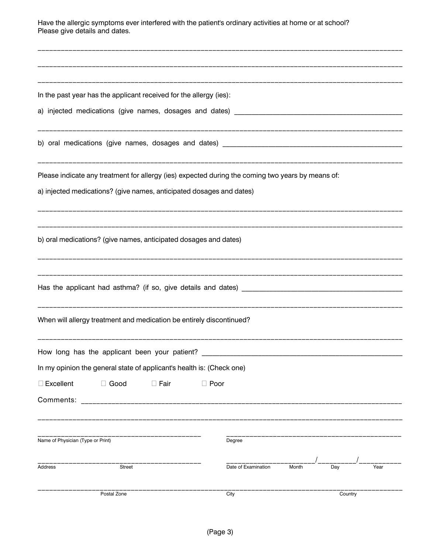Have the allergic symptoms ever interfered with the patient's ordinary activities at home or at school? Please give details and dates.

|                                   | In the past year has the applicant received for the allergy (ies):    |             |             |                                                                                                   |       |         |      |
|-----------------------------------|-----------------------------------------------------------------------|-------------|-------------|---------------------------------------------------------------------------------------------------|-------|---------|------|
|                                   |                                                                       |             |             |                                                                                                   |       |         |      |
|                                   |                                                                       |             |             |                                                                                                   |       |         |      |
|                                   |                                                                       |             |             | Please indicate any treatment for allergy (ies) expected during the coming two years by means of: |       |         |      |
|                                   | a) injected medications? (give names, anticipated dosages and dates)  |             |             |                                                                                                   |       |         |      |
|                                   | b) oral medications? (give names, anticipated dosages and dates)      |             |             |                                                                                                   |       |         |      |
|                                   |                                                                       |             |             |                                                                                                   |       |         |      |
|                                   | When will allergy treatment and medication be entirely discontinued?  |             |             |                                                                                                   |       |         |      |
|                                   | How long has the applicant been your patient?                         |             |             |                                                                                                   |       |         |      |
|                                   | In my opinion the general state of applicant's health is: (Check one) |             |             |                                                                                                   |       |         |      |
| $\square$ Excellent               | $\Box$ Good                                                           | $\Box$ Fair | $\Box$ Poor |                                                                                                   |       |         |      |
| Comments:                         |                                                                       |             |             |                                                                                                   |       |         |      |
| Name of Physician (Type or Print) |                                                                       |             |             | Degree                                                                                            |       |         |      |
| Address                           | Street                                                                |             |             | Date of Examination                                                                               | Month | Day     | Year |
|                                   | Postal Zone                                                           |             |             | City                                                                                              |       | Country |      |